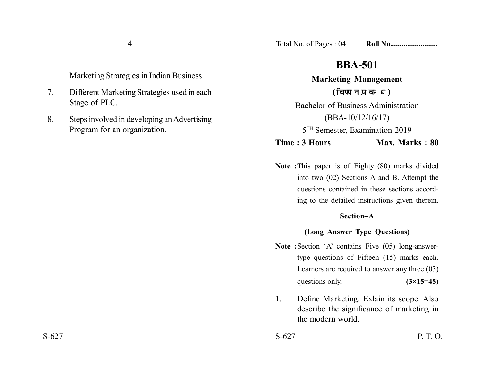4

Marketing Strategies in Indian Business.

- 7. Different Marketing Strategies used in each Stage of PLC.
- 8. Steps involved in developing an Advertising Program for an organization.

# **BBA-501**

**Marketing Management** (विपणन प्रबन्ध) Bachelor of Business Administration

(BBA-10/12/16/17)

5TH Semester, Examination-2019

**Time : 3 Hours Max. Marks : 80** 

**Note :**This paper is of Eighty (80) marks divided into two (02) Sections A and B. Attempt the questions contained in these sections according to the detailed instructions given therein.

#### **Section–A**

## **(Long Answer Type Questions)**

- **Note :**Section 'A' contains Five (05) long-answertype questions of Fifteen (15) marks each. Learners are required to answer any three (03) questions only. **(3×15=45)**
- 1. Define Marketing. Exlain its scope. Also describe the significance of marketing in the modern world.

 $S-627$  P. T. O.